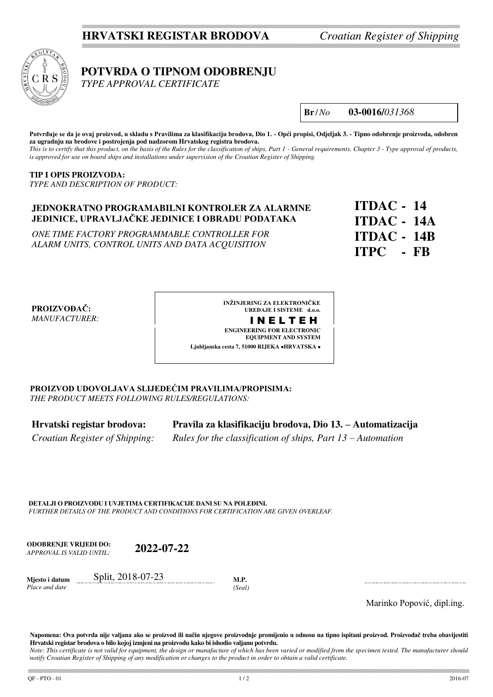### **HRVATSKI REGISTAR BRODOVA** *Croatian Register of Shipping*



 **POTVRDA O TIPNOM ODOBRENJU**

 *TYPE APPROVAL CERTIFICATE*

**Br** /*No* **03-0016/***031368*

**Potvrđuje se da je ovaj proizvod, u skladu s Pravilima za klasifikaciju brodova, Dio 1. - Opći propisi, Odjeljak 3. - Tipno odobrenje proizvoda, odobren za ugradnju na brodove i postrojenja pod nadzorom Hrvatskog registra brodova.** 

*This is to certify that this product, on the basis of the Rules for the classification of ships, Part 1 - General requirements, Chapter 3 - Type approval of products, is approved for use on board ships and installations under supervision of the Croatian Register of Shipping.* 

### **TIP I OPIS PROIZVODA:**

*TYPE AND DESCRIPTION OF PRODUCT:*

### **JEDNOKRATNO PROGRAMABILNI KONTROLER ZA ALARMNE JEDINICE, UPRAVLJAČKE JEDINICE I OBRADU PODATAKA**

*ONE TIME FACTORY PROGRAMMABLE CONTROLLER FOR ALARM UNITS, CONTROL UNITS AND DATA ACQUISITION*

**ITDAC - 14 ITDAC - 14A ITDAC - 14B ITPC - FB**

### **PROIZVOĐAČ:** *MANUFACTURER:*

**INŽINJERING ZA ELEKTRONIČKE UREĐAJE I SISTEME d.o.o.** I N E L T E H **ENGINEERING FOR ELECTRONIC EQUIPMENT AND SYSTEM Ljubljanska cesta 7, 51000 RIJEKA HRVATSKA** 

**PROIZVOD UDOVOLJAVA SLIJEDEĆIM PRAVILIMA/PROPISIMA:** *THE PRODUCT MEETS FOLLOWING RULES/REGULATIONS:*

**Hrvatski registar brodova: Pravila za klasifikaciju brodova, Dio 13. – Automatizacija**  *Croatian Register of Shipping: Rules for the classification of ships, Part 13 – Automation* 

**DETALJI O PROIZVODU I UVJETIMA CERTIFIKACIJE DANI SU NA POLEĐINI.** *FURTHER DETAILS OF THE PRODUCT AND CONDITIONS FOR CERTIFICATION ARE GIVEN OVERLEAF.* 

**ODOBRENJE VRIJEDI DO:**  *APPROVAL IS VALID UNTIL:* **2022-07-22**

**Mjesto i datum**  *Place and date* Split, 2018-07-23 **M.P.** 

*(Seal)*

Marinko Popović, dipl.ing.

**Napomena: Ova potvrda nije valjana ako se proizvod ili način njegove proizvodnje promijenio u odnosu na tipno ispitani proizvod. Proizvođač treba obavijestiti Hrvatski registar brodova o bilo kojoj izmjeni na proizvodu kako bi ishodio valjanu potvrdu.** 

*Note: This certificate is not valid for equipment, the design or manufacture of which has been varied or modified from the specimen tested. The manufacturer should notify Croatian Register of Shipping of any modification or changes to the product in order to obtain a valid certificate.*